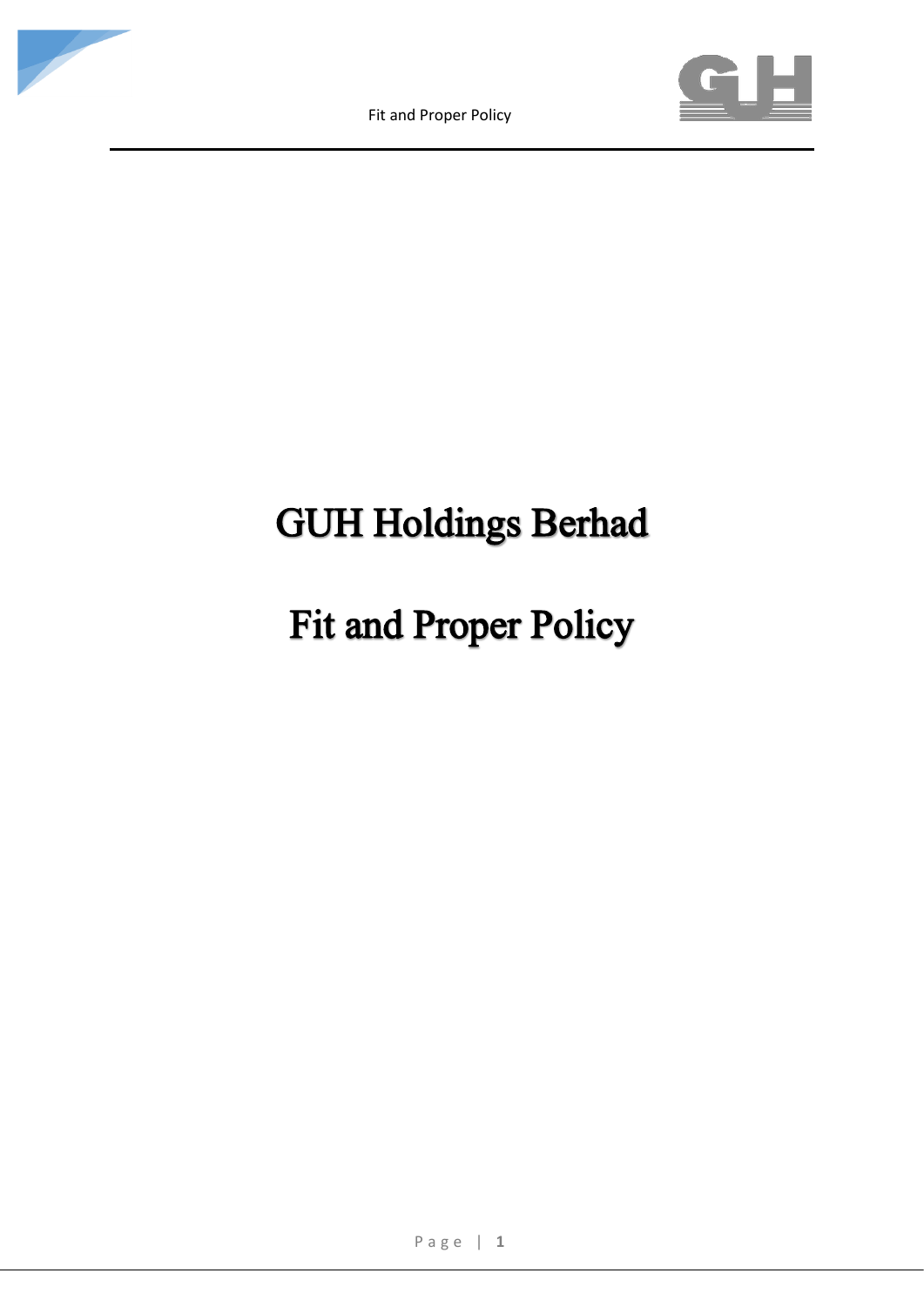





# **GUH Holdings Berhad**

# **Fit and Proper Policy**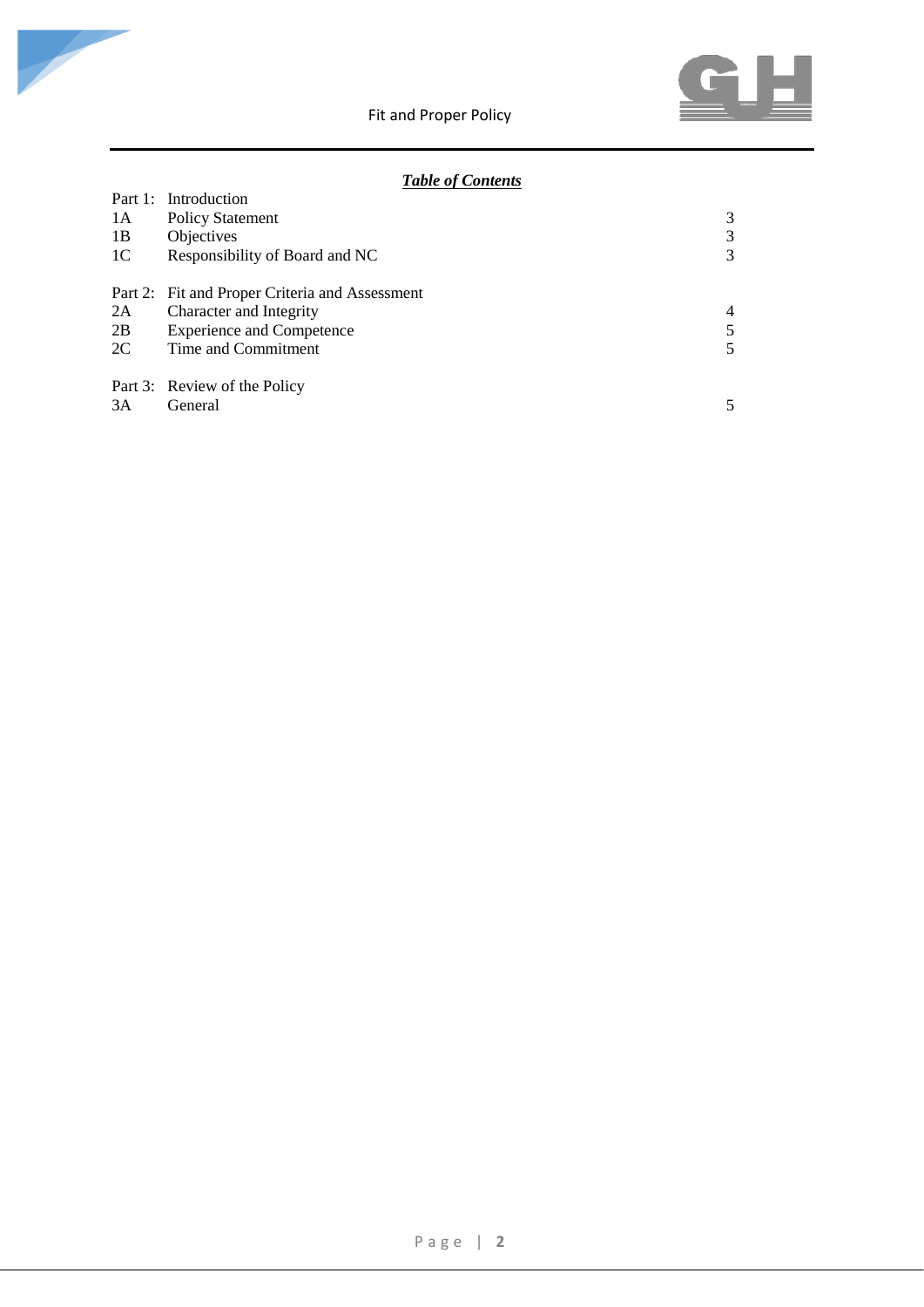

# *Table of Contents*

|                | Part 1: Introduction                           |   |
|----------------|------------------------------------------------|---|
| 1A             | Policy Statement                               | 3 |
| 1B             | <b>Objectives</b>                              | 3 |
| 1 <sup>C</sup> | Responsibility of Board and NC                 | 3 |
|                | Part 2: Fit and Proper Criteria and Assessment |   |
| 2A             | Character and Integrity                        | 4 |
| 2B             | <b>Experience and Competence</b>               |   |
| 2C             | Time and Commitment                            |   |
|                | Part 3: Review of the Policy                   |   |
| 3A             | General                                        |   |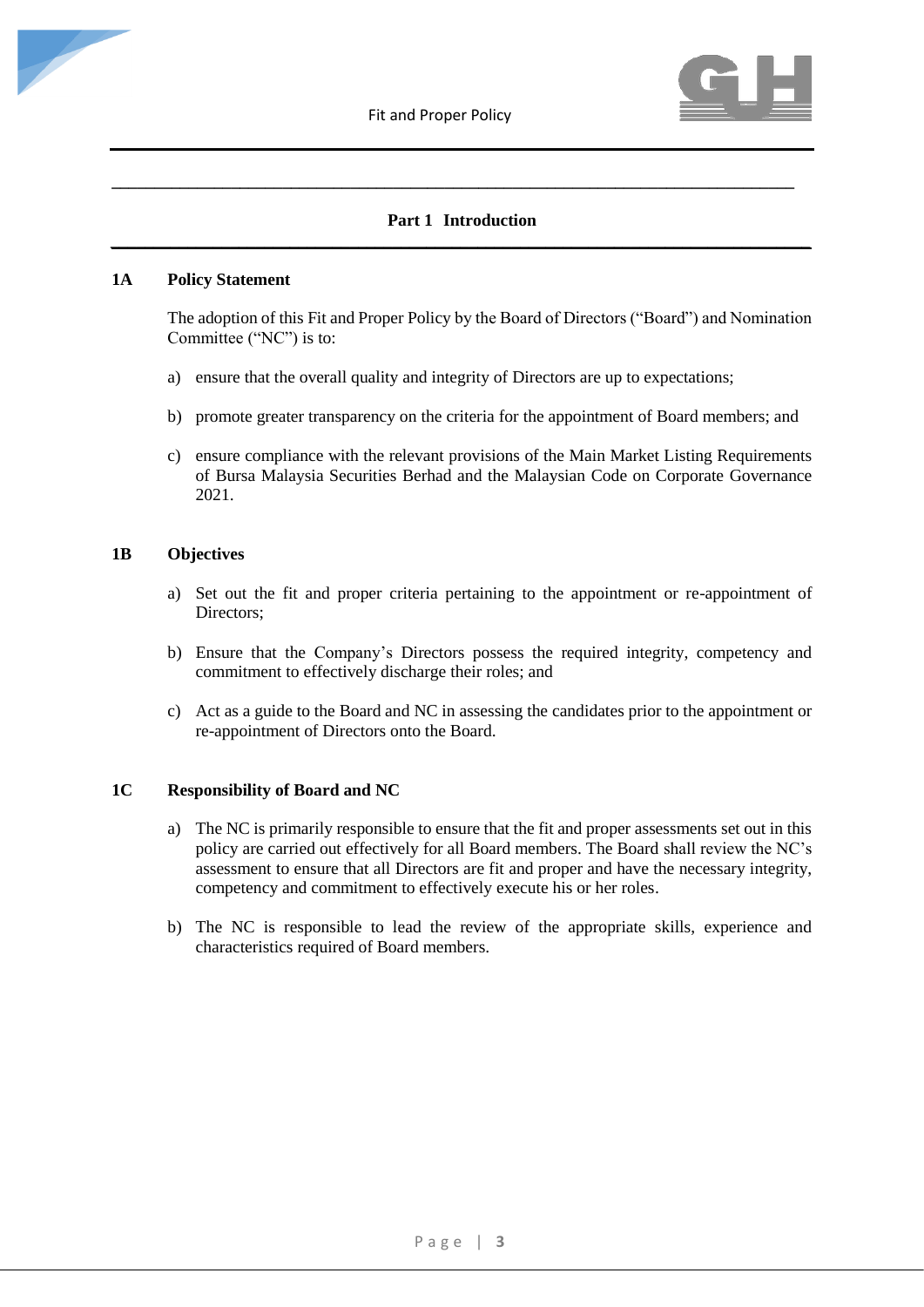

# **Part 1 Introduction** *\_\_\_\_\_\_\_\_\_\_\_\_\_\_\_\_\_\_\_\_\_\_\_\_\_\_\_\_\_\_\_\_\_\_\_\_\_\_\_\_\_\_\_\_\_\_\_\_\_\_\_\_\_\_\_\_\_\_\_\_\_\_\_\_\_\_\_\_\_\_\_\_\_\_\_\_\_\_\_\_\_\_*

**\_\_\_\_\_\_\_\_\_\_\_\_\_\_\_\_\_\_\_\_\_\_\_\_\_\_\_\_\_\_\_\_\_\_\_\_\_\_\_\_\_\_\_\_\_\_\_\_\_\_\_\_\_\_\_\_\_\_\_\_\_\_\_\_\_\_\_\_\_\_\_\_\_\_\_\_\_\_\_\_**

#### **1A Policy Statement**

The adoption of this Fit and Proper Policy by the Board of Directors ("Board") and Nomination Committee ("NC") is to:

- a) ensure that the overall quality and integrity of Directors are up to expectations;
- b) promote greater transparency on the criteria for the appointment of Board members; and
- c) ensure compliance with the relevant provisions of the Main Market Listing Requirements of Bursa Malaysia Securities Berhad and the Malaysian Code on Corporate Governance 2021.

#### **1B Objectives**

- a) Set out the fit and proper criteria pertaining to the appointment or re-appointment of Directors;
- b) Ensure that the Company's Directors possess the required integrity, competency and commitment to effectively discharge their roles; and
- c) Act as a guide to the Board and NC in assessing the candidates prior to the appointment or re-appointment of Directors onto the Board.

#### **1C Responsibility of Board and NC**

- a) The NC is primarily responsible to ensure that the fit and proper assessments set out in this policy are carried out effectively for all Board members. The Board shall review the NC's assessment to ensure that all Directors are fit and proper and have the necessary integrity, competency and commitment to effectively execute his or her roles.
- b) The NC is responsible to lead the review of the appropriate skills, experience and characteristics required of Board members.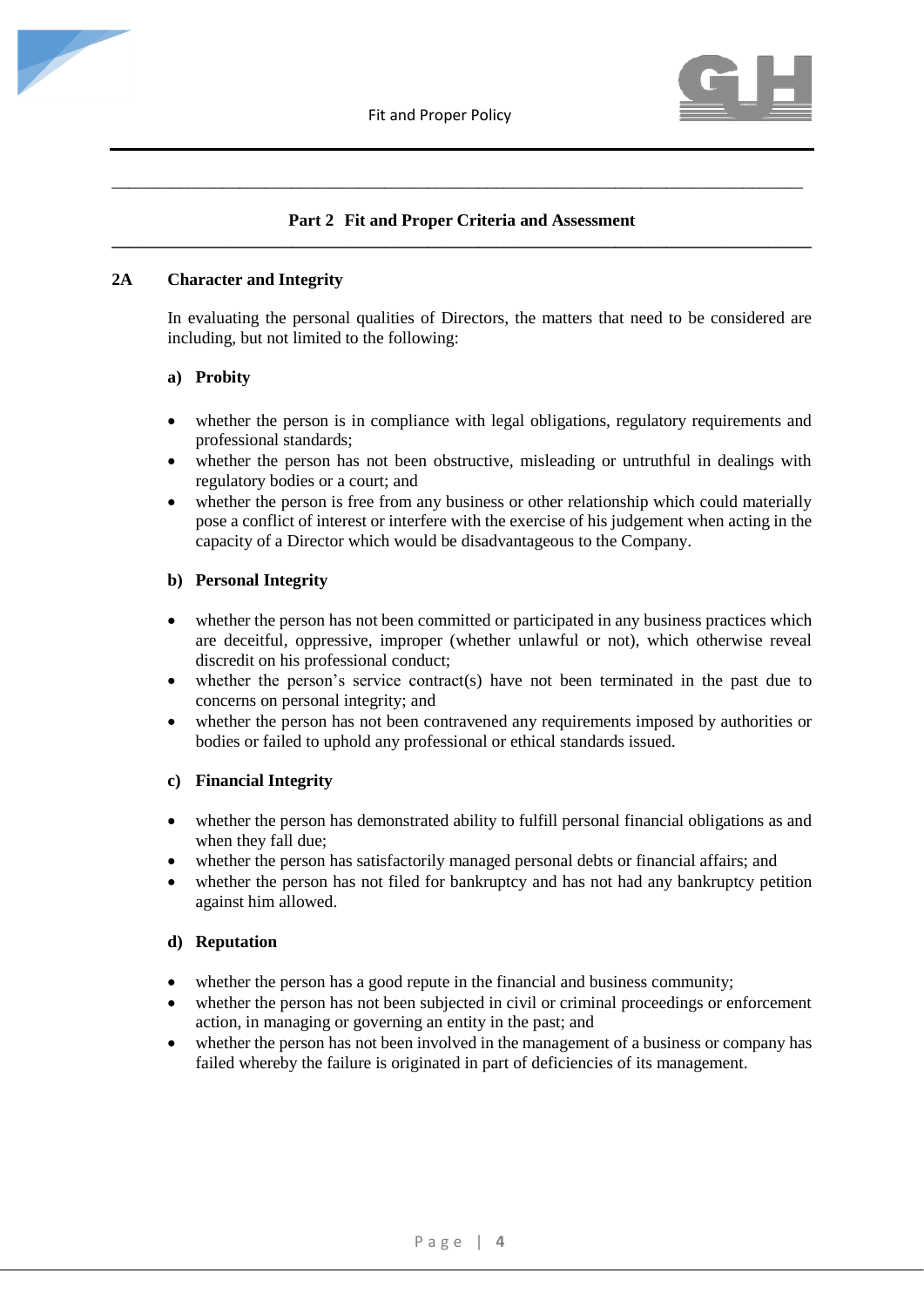

# **Part 2 Fit and Proper Criteria and Assessment \_\_\_\_\_\_\_\_\_\_\_\_\_\_\_\_\_\_\_\_\_\_\_\_\_\_\_\_\_\_\_\_\_\_\_\_\_\_\_\_\_\_\_\_\_\_\_\_\_\_\_\_\_\_\_\_\_\_\_\_\_\_\_\_\_\_\_\_\_\_\_\_\_\_\_\_\_\_\_\_\_\_**

\_\_\_\_\_\_\_\_\_\_\_\_\_\_\_\_\_\_\_\_\_\_\_\_\_\_\_\_\_\_\_\_\_\_\_\_\_\_\_\_\_\_\_\_\_\_\_\_\_\_\_\_\_\_\_\_\_\_\_\_\_\_\_\_\_\_\_\_\_\_\_\_\_\_\_\_\_\_\_\_\_

## **2A Character and Integrity**

In evaluating the personal qualities of Directors, the matters that need to be considered are including, but not limited to the following:

## **a) Probity**

- whether the person is in compliance with legal obligations, regulatory requirements and professional standards;
- whether the person has not been obstructive, misleading or untruthful in dealings with regulatory bodies or a court; and
- whether the person is free from any business or other relationship which could materially pose a conflict of interest or interfere with the exercise of his judgement when acting in the capacity of a Director which would be disadvantageous to the Company.

## **b) Personal Integrity**

- whether the person has not been committed or participated in any business practices which are deceitful, oppressive, improper (whether unlawful or not), which otherwise reveal discredit on his professional conduct;
- whether the person's service contract(s) have not been terminated in the past due to concerns on personal integrity; and
- whether the person has not been contravened any requirements imposed by authorities or bodies or failed to uphold any professional or ethical standards issued.

## **c) Financial Integrity**

- whether the person has demonstrated ability to fulfill personal financial obligations as and when they fall due;
- whether the person has satisfactorily managed personal debts or financial affairs; and
- whether the person has not filed for bankruptcy and has not had any bankruptcy petition against him allowed.

# **d) Reputation**

- whether the person has a good repute in the financial and business community;
- whether the person has not been subjected in civil or criminal proceedings or enforcement action, in managing or governing an entity in the past; and
- whether the person has not been involved in the management of a business or company has failed whereby the failure is originated in part of deficiencies of its management.